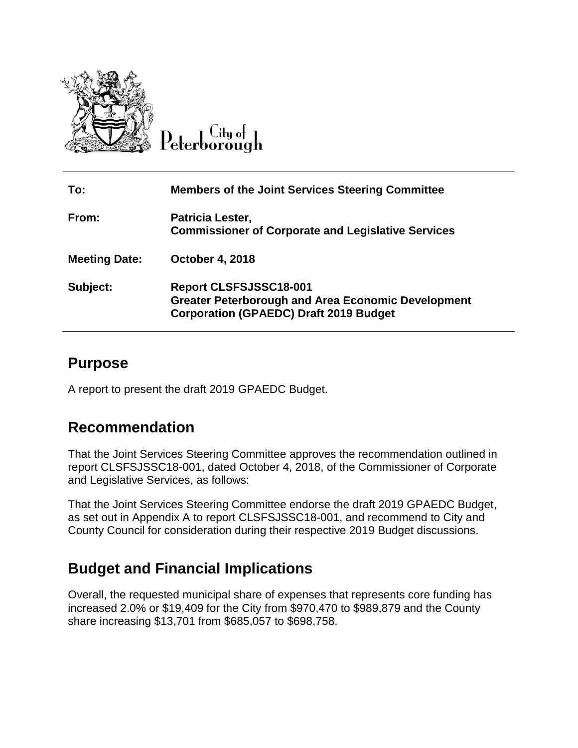

 $C$ ity of Peterborough

| To:                  | <b>Members of the Joint Services Steering Committee</b>                                                                                     |
|----------------------|---------------------------------------------------------------------------------------------------------------------------------------------|
| From:                | Patricia Lester,<br><b>Commissioner of Corporate and Legislative Services</b>                                                               |
| <b>Meeting Date:</b> | <b>October 4, 2018</b>                                                                                                                      |
| Subject:             | <b>Report CLSFSJSSC18-001</b><br><b>Greater Peterborough and Area Economic Development</b><br><b>Corporation (GPAEDC) Draft 2019 Budget</b> |

## **Purpose**

A report to present the draft 2019 GPAEDC Budget.

## **Recommendation**

That the Joint Services Steering Committee approves the recommendation outlined in report CLSFSJSSC18-001, dated October 4, 2018, of the Commissioner of Corporate and Legislative Services, as follows:

That the Joint Services Steering Committee endorse the draft 2019 GPAEDC Budget, as set out in Appendix A to report CLSFSJSSC18-001, and recommend to City and County Council for consideration during their respective 2019 Budget discussions.

## **Budget and Financial Implications**

Overall, the requested municipal share of expenses that represents core funding has increased 2.0% or \$19,409 for the City from \$970,470 to \$989,879 and the County share increasing \$13,701 from \$685,057 to \$698,758.